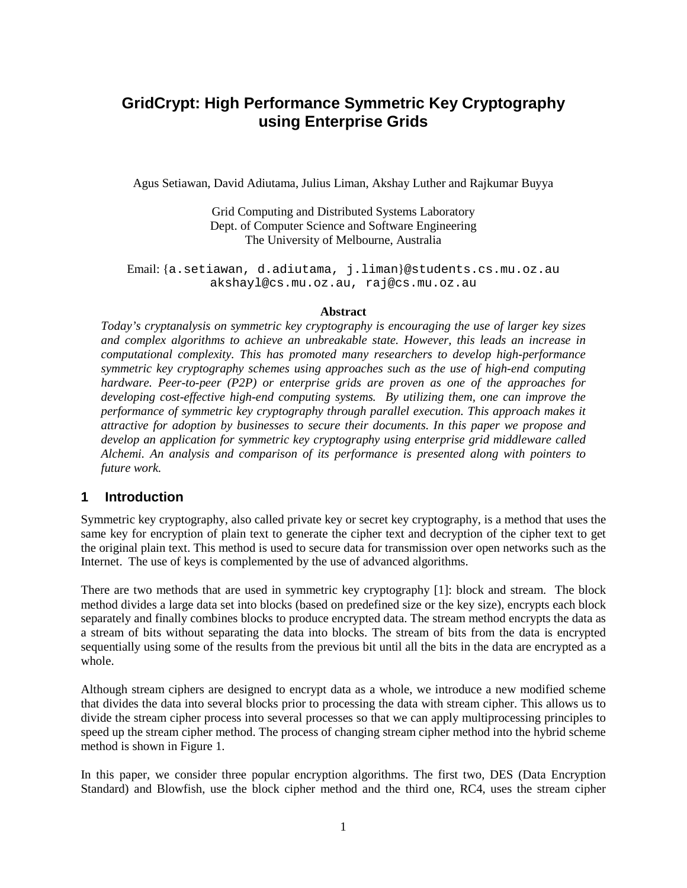# **GridCrypt: High Performance Symmetric Key Cryptography using Enterprise Grids**

Agus Setiawan, David Adiutama, Julius Liman, Akshay Luther and Rajkumar Buyya

Grid Computing and Distributed Systems Laboratory Dept. of Computer Science and Software Engineering The University of Melbourne, Australia

Email: {a.setiawan, d.adiutama, j.liman}@students.cs.mu.oz.au akshayl@cs.mu.oz.au, raj@cs.mu.oz.au

#### **Abstract**

*Today's cryptanalysis on symmetric key cryptography is encouraging the use of larger key sizes and complex algorithms to achieve an unbreakable state. However, this leads an increase in computational complexity. This has promoted many researchers to develop high-performance symmetric key cryptography schemes using approaches such as the use of high-end computing hardware. Peer-to-peer (P2P) or enterprise grids are proven as one of the approaches for developing cost-effective high-end computing systems. By utilizing them, one can improve the performance of symmetric key cryptography through parallel execution. This approach makes it attractive for adoption by businesses to secure their documents. In this paper we propose and develop an application for symmetric key cryptography using enterprise grid middleware called Alchemi. An analysis and comparison of its performance is presented along with pointers to future work.*

#### **1 Introduction**

Symmetric key cryptography, also called private key or secret key cryptography, is a method that uses the same key for encryption of plain text to generate the cipher text and decryption of the cipher text to get the original plain text. This method is used to secure data for transmission over open networks such as the Internet. The use of keys is complemented by the use of advanced algorithms.

There are two methods that are used in symmetric key cryptography [1]: block and stream. The block method divides a large data set into blocks (based on predefined size or the key size), encrypts each block separately and finally combines blocks to produce encrypted data. The stream method encrypts the data as a stream of bits without separating the data into blocks. The stream of bits from the data is encrypted sequentially using some of the results from the previous bit until all the bits in the data are encrypted as a whole.

Although stream ciphers are designed to encrypt data as a whole, we introduce a new modified scheme that divides the data into several blocks prior to processing the data with stream cipher. This allows us to divide the stream cipher process into several processes so that we can apply multiprocessing principles to speed up the stream cipher method. The process of changing stream cipher method into the hybrid scheme method is shown in Figure 1.

In this paper, we consider three popular encryption algorithms. The first two, DES (Data Encryption Standard) and Blowfish, use the block cipher method and the third one, RC4, uses the stream cipher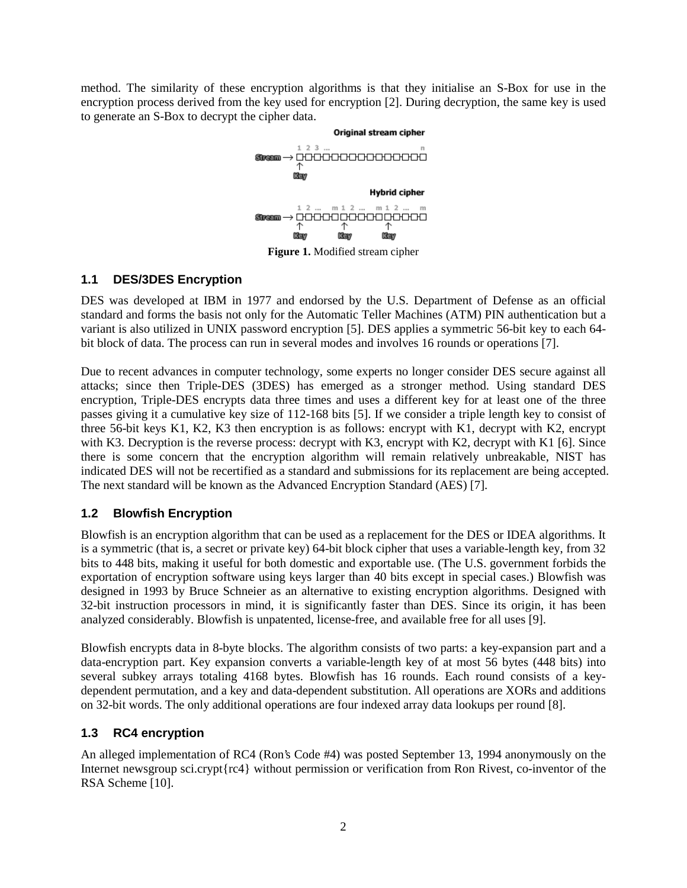method. The similarity of these encryption algorithms is that they initialise an S-Box for use in the encryption process derived from the key used for encryption [2]. During decryption, the same key is used to generate an S-Box to decrypt the cipher data.



#### **Figure 1.** Modified stream cipher

## **1.1 DES/3DES Encryption**

DES was developed at IBM in 1977 and endorsed by the U.S. Department of Defense as an official standard and forms the basis not only for the Automatic Teller Machines (ATM) PIN authentication but a variant is also utilized in UNIX password encryption [5]. DES applies a symmetric 56-bit key to each 64 bit block of data. The process can run in several modes and involves 16 rounds or operations [7].

Due to recent advances in computer technology, some experts no longer consider DES secure against all attacks; since then Triple-DES (3DES) has emerged as a stronger method. Using standard DES encryption, Triple-DES encrypts data three times and uses a different key for at least one of the three passes giving it a cumulative key size of 112-168 bits [5]. If we consider a triple length key to consist of three 56-bit keys K1, K2, K3 then encryption is as follows: encrypt with K1, decrypt with K2, encrypt with K3. Decryption is the reverse process: decrypt with K3, encrypt with K2, decrypt with K1 [6]. Since there is some concern that the encryption algorithm will remain relatively unbreakable, NIST has indicated DES will not be recertified as a standard and submissions for its replacement are being accepted. The next standard will be known as the Advanced Encryption Standard (AES) [7].

### **1.2 Blowfish Encryption**

Blowfish is an encryption algorithm that can be used as a replacement for the DES or IDEA algorithms. It is a symmetric (that is, a secret or private key) 64-bit block cipher that uses a variable-length key, from 32 bits to 448 bits, making it useful for both domestic and exportable use. (The U.S. government forbids the exportation of encryption software using keys larger than 40 bits except in special cases.) Blowfish was designed in 1993 by Bruce Schneier as an alternative to existing encryption algorithms. Designed with 32-bit instruction processors in mind, it is significantly faster than DES. Since its origin, it has been analyzed considerably. Blowfish is unpatented, license-free, and available free for all uses [9].

Blowfish encrypts data in 8-byte blocks. The algorithm consists of two parts: a key-expansion part and a data-encryption part. Key expansion converts a variable-length key of at most 56 bytes (448 bits) into several subkey arrays totaling 4168 bytes. Blowfish has 16 rounds. Each round consists of a keydependent permutation, and a key and data-dependent substitution. All operations are XORs and additions on 32-bit words. The only additional operations are four indexed array data lookups per round [8].

### **1.3 RC4 encryption**

An alleged implementation of RC4 (Ron's Code #4) was posted September 13, 1994 anonymously on the Internet newsgroup sci.crypt{rc4} without permission or verification from Ron Rivest, co-inventor of the RSA Scheme [10].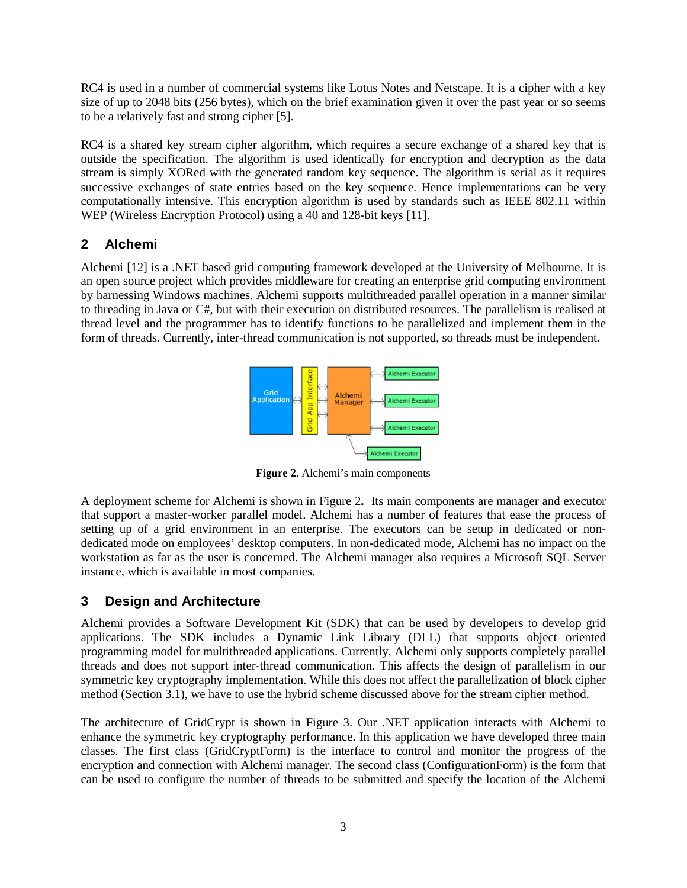RC4 is used in a number of commercial systems like Lotus Notes and Netscape. It is a cipher with a key size of up to 2048 bits (256 bytes), which on the brief examination given it over the past year or so seems to be a relatively fast and strong cipher [5].

RC4 is a shared key stream cipher algorithm, which requires a secure exchange of a shared key that is outside the specification. The algorithm is used identically for encryption and decryption as the data stream is simply XORed with the generated random key sequence. The algorithm is serial as it requires successive exchanges of state entries based on the key sequence. Hence implementations can be very computationally intensive. This encryption algorithm is used by standards such as IEEE 802.11 within WEP (Wireless Encryption Protocol) using a 40 and 128-bit keys [11].

## **2 Alchemi**

Alchemi [12] is a .NET based grid computing framework developed at the University of Melbourne. It is an open source project which provides middleware for creating an enterprise grid computing environment by harnessing Windows machines. Alchemi supports multithreaded parallel operation in a manner similar to threading in Java or C#, but with their execution on distributed resources. The parallelism is realised at thread level and the programmer has to identify functions to be parallelized and implement them in the form of threads. Currently, inter-thread communication is not supported, so threads must be independent.



**Figure 2.** Alchemi's main components

A deployment scheme for Alchemi is shown in Figure 2**.** Its main components are manager and executor that support a master-worker parallel model. Alchemi has a number of features that ease the process of setting up of a grid environment in an enterprise. The executors can be setup in dedicated or nondedicated mode on employees' desktop computers. In non-dedicated mode, Alchemi has no impact on the workstation as far as the user is concerned. The Alchemi manager also requires a Microsoft SQL Server instance, which is available in most companies.

## **3 Design and Architecture**

Alchemi provides a Software Development Kit (SDK) that can be used by developers to develop grid applications. The SDK includes a Dynamic Link Library (DLL) that supports object oriented programming model for multithreaded applications. Currently, Alchemi only supports completely parallel threads and does not support inter-thread communication. This affects the design of parallelism in our symmetric key cryptography implementation. While this does not affect the parallelization of block cipher method (Section 3.1), we have to use the hybrid scheme discussed above for the stream cipher method.

The architecture of GridCrypt is shown in Figure 3. Our .NET application interacts with Alchemi to enhance the symmetric key cryptography performance. In this application we have developed three main classes. The first class (GridCryptForm) is the interface to control and monitor the progress of the encryption and connection with Alchemi manager. The second class (ConfigurationForm) is the form that can be used to configure the number of threads to be submitted and specify the location of the Alchemi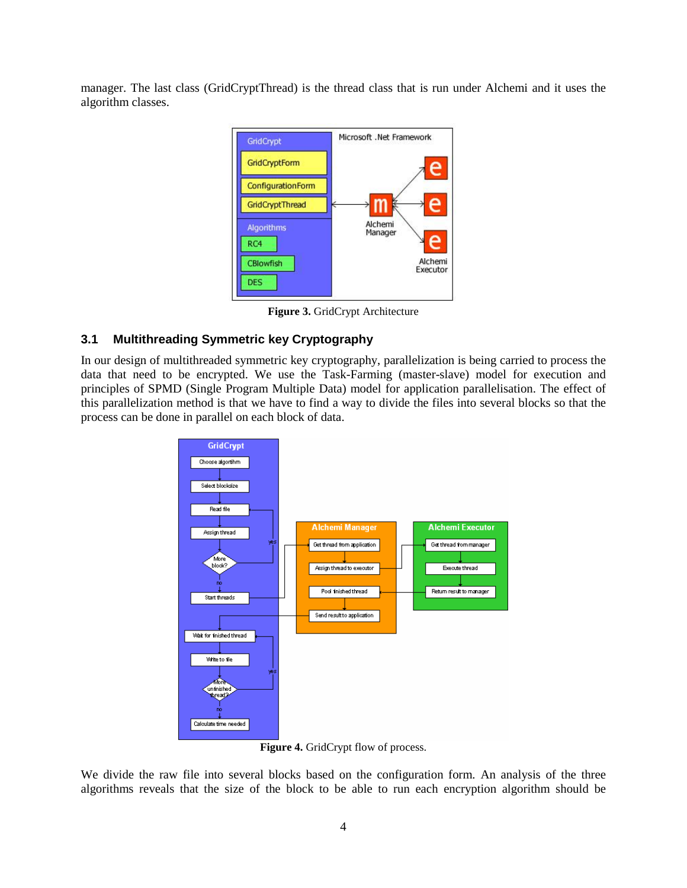manager. The last class (GridCryptThread) is the thread class that is run under Alchemi and it uses the algorithm classes.



**Figure 3.** GridCrypt Architecture

### **3.1 Multithreading Symmetric key Cryptography**

In our design of multithreaded symmetric key cryptography, parallelization is being carried to process the data that need to be encrypted. We use the Task-Farming (master-slave) model for execution and principles of SPMD (Single Program Multiple Data) model for application parallelisation. The effect of this parallelization method is that we have to find a way to divide the files into several blocks so that the process can be done in parallel on each block of data.



**Figure 4.** GridCrypt flow of process.

We divide the raw file into several blocks based on the configuration form. An analysis of the three algorithms reveals that the size of the block to be able to run each encryption algorithm should be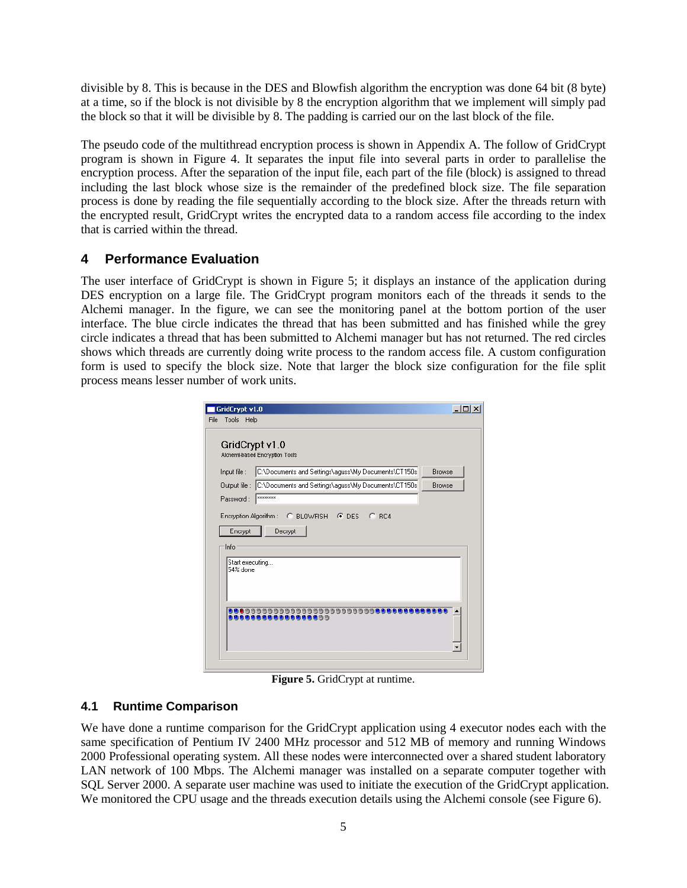divisible by 8. This is because in the DES and Blowfish algorithm the encryption was done 64 bit (8 byte) at a time, so if the block is not divisible by 8 the encryption algorithm that we implement will simply pad the block so that it will be divisible by 8. The padding is carried our on the last block of the file.

The pseudo code of the multithread encryption process is shown in Appendix A. The follow of GridCrypt program is shown in Figure 4. It separates the input file into several parts in order to parallelise the encryption process. After the separation of the input file, each part of the file (block) is assigned to thread including the last block whose size is the remainder of the predefined block size. The file separation process is done by reading the file sequentially according to the block size. After the threads return with the encrypted result, GridCrypt writes the encrypted data to a random access file according to the index that is carried within the thread.

## **4 Performance Evaluation**

The user interface of GridCrypt is shown in Figure 5; it displays an instance of the application during DES encryption on a large file. The GridCrypt program monitors each of the threads it sends to the Alchemi manager. In the figure, we can see the monitoring panel at the bottom portion of the user interface. The blue circle indicates the thread that has been submitted and has finished while the grey circle indicates a thread that has been submitted to Alchemi manager but has not returned. The red circles shows which threads are currently doing write process to the random access file. A custom configuration form is used to specify the block size. Note that larger the block size configuration for the file split process means lesser number of work units.

| GridCrypt v1.0                                                                     |               |
|------------------------------------------------------------------------------------|---------------|
| Tools Help<br>File                                                                 |               |
| GridCrypt v1.0<br>Alchemi-based Encryption Tools                                   |               |
| C:\Documents and Settings\aguss\My Documents\CT150s<br>Input file:                 | Browse        |
| C:\Documents and Settings\aguss\My Documents\CT150s<br>Output file:                | <b>Browse</b> |
| <b>xxxxxxxxx</b><br>Password:                                                      |               |
| C BLOWFISH C DES<br>Encryption Algorithm:<br>$C$ BC4<br>Encrypt<br>Decrypt<br>Info |               |
| Start executing<br>54% done                                                        |               |
| m<br>角角角角<br>m                                                                     |               |

**Figure 5.** GridCrypt at runtime.

### **4.1 Runtime Comparison**

We have done a runtime comparison for the GridCrypt application using 4 executor nodes each with the same specification of Pentium IV 2400 MHz processor and 512 MB of memory and running Windows 2000 Professional operating system. All these nodes were interconnected over a shared student laboratory LAN network of 100 Mbps. The Alchemi manager was installed on a separate computer together with SQL Server 2000. A separate user machine was used to initiate the execution of the GridCrypt application. We monitored the CPU usage and the threads execution details using the Alchemi console (see Figure 6).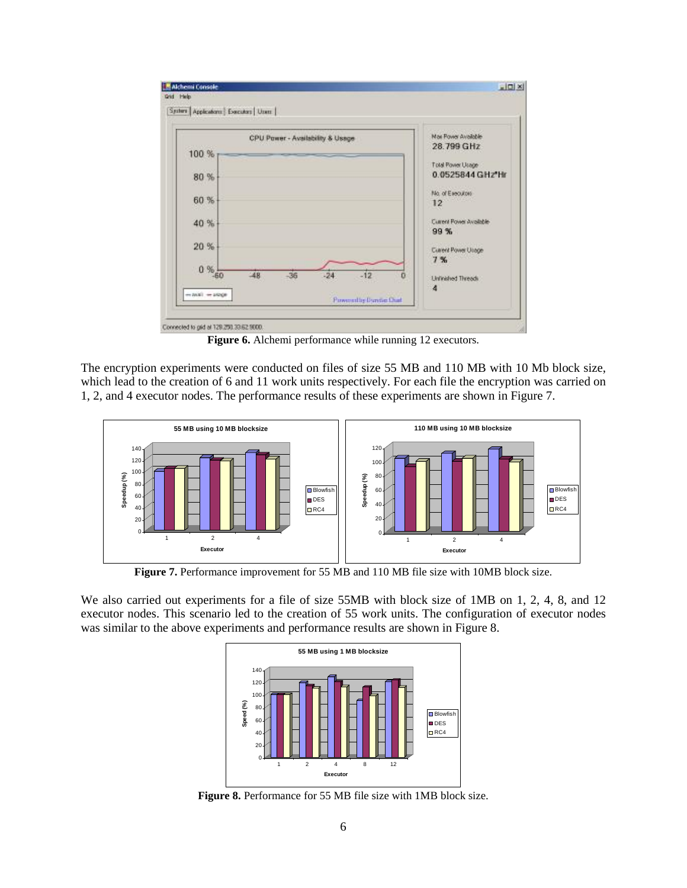

**Figure 6.** Alchemi performance while running 12 executors.

The encryption experiments were conducted on files of size 55 MB and 110 MB with 10 Mb block size, which lead to the creation of 6 and 11 work units respectively. For each file the encryption was carried on 1, 2, and 4 executor nodes. The performance results of these experiments are shown in Figure 7.



**Figure 7.** Performance improvement for 55 MB and 110 MB file size with 10MB block size.

We also carried out experiments for a file of size 55MB with block size of 1MB on 1, 2, 4, 8, and 12 executor nodes. This scenario led to the creation of 55 work units. The configuration of executor nodes was similar to the above experiments and performance results are shown in Figure 8.



**Figure 8.** Performance for 55 MB file size with 1MB block size.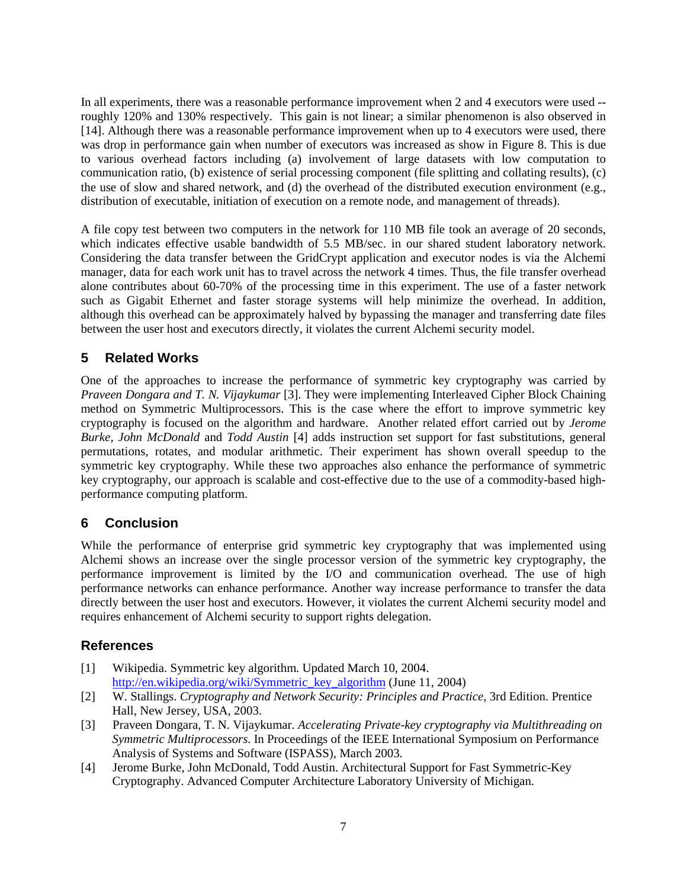In all experiments, there was a reasonable performance improvement when 2 and 4 executors were used - roughly 120% and 130% respectively. This gain is not linear; a similar phenomenon is also observed in [14]. Although there was a reasonable performance improvement when up to 4 executors were used, there was drop in performance gain when number of executors was increased as show in Figure 8. This is due to various overhead factors including (a) involvement of large datasets with low computation to communication ratio, (b) existence of serial processing component (file splitting and collating results), (c) the use of slow and shared network, and (d) the overhead of the distributed execution environment (e.g., distribution of executable, initiation of execution on a remote node, and management of threads).

A file copy test between two computers in the network for 110 MB file took an average of 20 seconds, which indicates effective usable bandwidth of 5.5 MB/sec. in our shared student laboratory network. Considering the data transfer between the GridCrypt application and executor nodes is via the Alchemi manager, data for each work unit has to travel across the network 4 times. Thus, the file transfer overhead alone contributes about 60-70% of the processing time in this experiment. The use of a faster network such as Gigabit Ethernet and faster storage systems will help minimize the overhead. In addition, although this overhead can be approximately halved by bypassing the manager and transferring date files between the user host and executors directly, it violates the current Alchemi security model.

## **5 Related Works**

One of the approaches to increase the performance of symmetric key cryptography was carried by *Praveen Dongara and T. N. Vijaykumar* [3]. They were implementing Interleaved Cipher Block Chaining method on Symmetric Multiprocessors. This is the case where the effort to improve symmetric key cryptography is focused on the algorithm and hardware. Another related effort carried out by *Jerome Burke, John McDonald* and *Todd Austin* [4] adds instruction set support for fast substitutions, general permutations, rotates, and modular arithmetic. Their experiment has shown overall speedup to the symmetric key cryptography. While these two approaches also enhance the performance of symmetric key cryptography, our approach is scalable and cost-effective due to the use of a commodity-based highperformance computing platform.

## **6 Conclusion**

While the performance of enterprise grid symmetric key cryptography that was implemented using Alchemi shows an increase over the single processor version of the symmetric key cryptography, the performance improvement is limited by the I/O and communication overhead. The use of high performance networks can enhance performance. Another way increase performance to transfer the data directly between the user host and executors. However, it violates the current Alchemi security model and requires enhancement of Alchemi security to support rights delegation.

## **References**

- [1] Wikipedia. Symmetric key algorithm. Updated March 10, 2004. http://en.wikipedia.org/wiki/Symmetric\_key\_algorithm (June 11, 2004)
- [2] W. Stallings. *Cryptography and Network Security: Principles and Practice*, 3rd Edition. Prentice Hall, New Jersey, USA, 2003.
- [3] Praveen Dongara, T. N. Vijaykumar. *Accelerating Private-key cryptography via Multithreading on Symmetric Multiprocessors*. In Proceedings of the IEEE International Symposium on Performance Analysis of Systems and Software (ISPASS), March 2003.
- [4] Jerome Burke, John McDonald, Todd Austin. Architectural Support for Fast Symmetric-Key Cryptography. Advanced Computer Architecture Laboratory University of Michigan.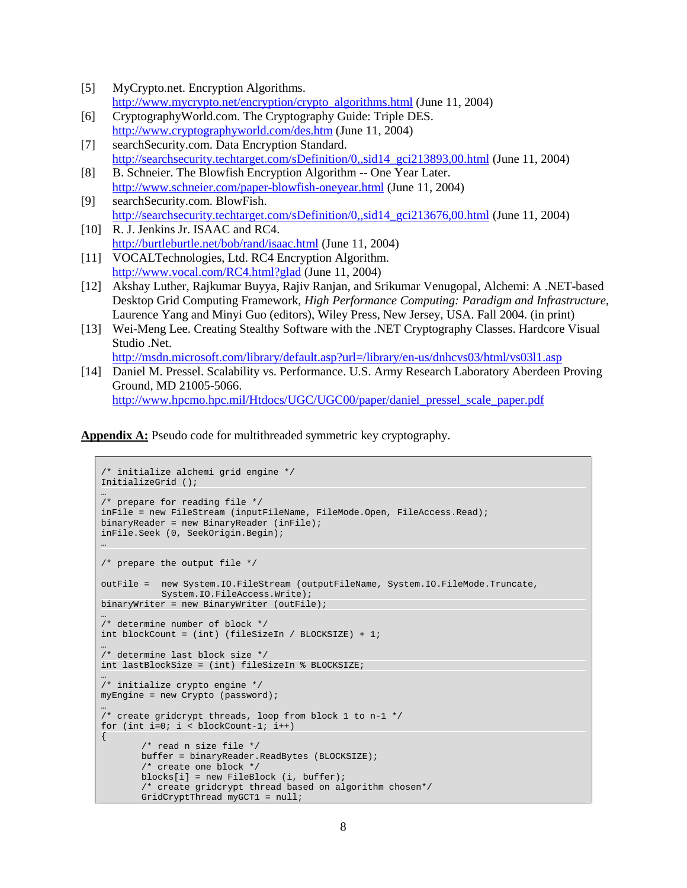- [5] MyCrypto.net. Encryption Algorithms. http://www.mycrypto.net/encryption/crypto\_algorithms.html (June 11, 2004)
- [6] CryptographyWorld.com. The Cryptography Guide: Triple DES. http://www.cryptographyworld.com/des.htm (June 11, 2004)
- [7] searchSecurity.com. Data Encryption Standard. http://searchsecurity.techtarget.com/sDefinition/0,,sid14\_gci213893,00.html (June 11, 2004)
- [8] B. Schneier. The Blowfish Encryption Algorithm -- One Year Later. http://www.schneier.com/paper-blowfish-oneyear.html (June 11, 2004)
- [9] searchSecurity.com. BlowFish. http://searchsecurity.techtarget.com/sDefinition/0,,sid14\_gci213676,00.html (June 11, 2004)
- [10] R. J. Jenkins Jr. ISAAC and RC4. http://burtleburtle.net/bob/rand/isaac.html (June 11, 2004)
- [11] VOCALTechnologies, Ltd. RC4 Encryption Algorithm. http://www.vocal.com/RC4.html?glad (June 11, 2004)
- [12] Akshay Luther, Rajkumar Buyya, Rajiv Ranjan, and Srikumar Venugopal, Alchemi: A .NET-based Desktop Grid Computing Framework, *High Performance Computing: Paradigm and Infrastructure*, Laurence Yang and Minyi Guo (editors), Wiley Press, New Jersey, USA. Fall 2004. (in print)
- [13] Wei-Meng Lee. Creating Stealthy Software with the .NET Cryptography Classes. Hardcore Visual Studio .Net.

http://msdn.microsoft.com/library/default.asp?url=/library/en-us/dnhcvs03/html/vs03l1.asp

[14] Daniel M. Pressel. Scalability vs. Performance. U.S. Army Research Laboratory Aberdeen Proving Ground, MD 21005-5066.

http://www.hpcmo.hpc.mil/Htdocs/UGC/UGC00/paper/daniel\_pressel\_scale\_paper.pdf

**Appendix A:** Pseudo code for multithreaded symmetric key cryptography.

```
/* initialize alchemi grid engine */
InitializeGrid ();
…
/* prepare for reading file */
inFile = new FileStream (inputFileName, FileMode.Open, FileAccess.Read);
binaryReader = new BinaryReader (inFile);
inFile.Seek (0, SeekOrigin.Begin);
…
/* prepare the output file */
outFile = new System.IO.FileStream (outputFileName, System.IO.FileMode.Truncate,
           System.IO.FileAccess.Write);
binaryWriter = new BinaryWriter (outFile);
…
/* determine number of block */
int blockCount = (int) (fileSizeIn / BLOCKSIZE) + 1;
…
/* determine last block size */
int lastBlockSize = (int) fileSizeIn % BLOCKSIZE;
…
/* initialize crypto engine */
myEngine = new Crypto (password);
…
/* create gridcrypt threads, loop from block 1 to n-1 */
for (int i=0; i < blockCount-1; i++){
       /* read n size file */
       buffer = binaryReader.ReadBytes (BLOCKSIZE);
       /* create one block */
       blocks[i] = new FileBlock (i, buffer);
       /* create gridcrypt thread based on algorithm chosen*/
       GridCryptThread myGCT1 = null;
```